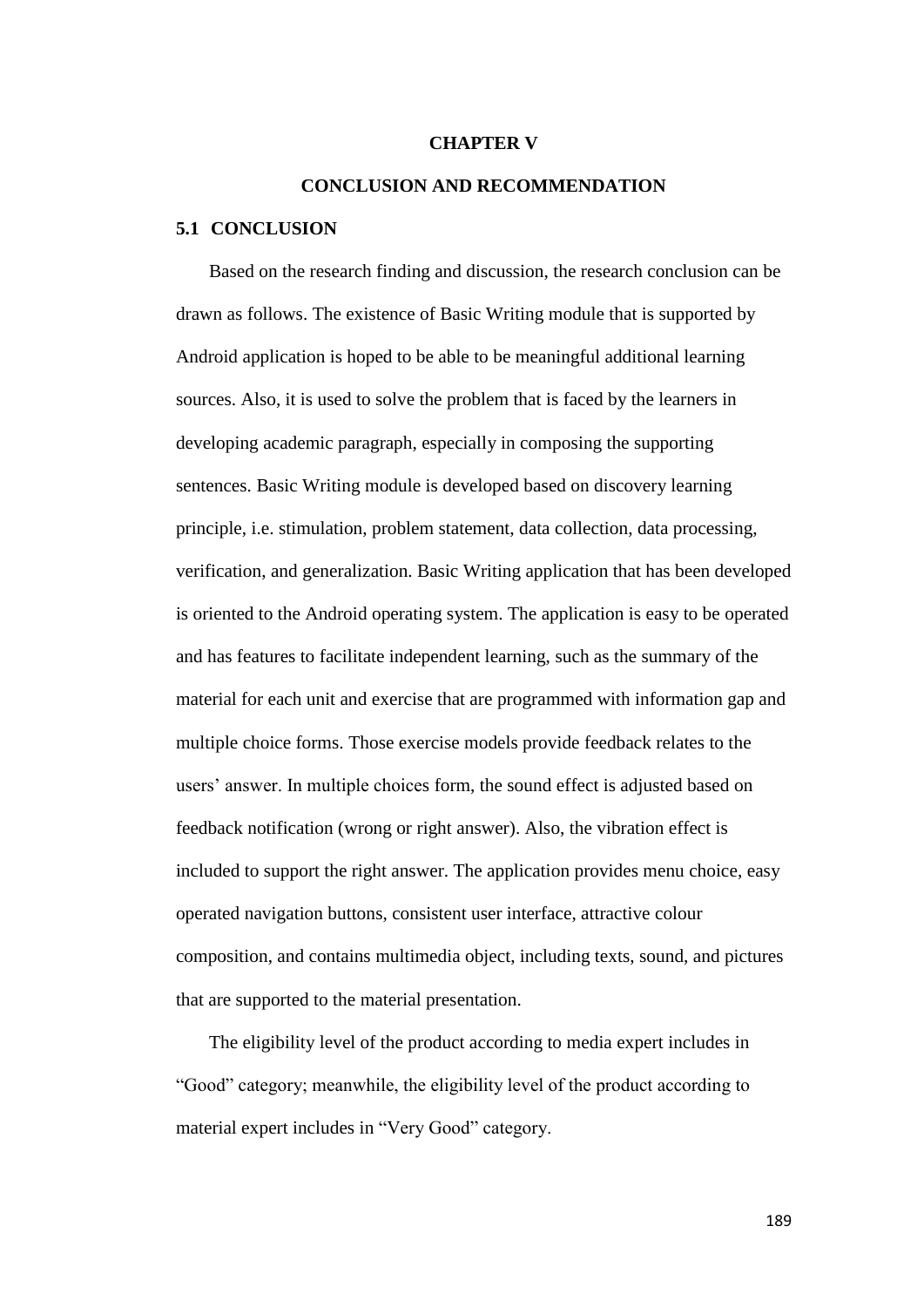## **CHAPTER V**

## **CONCLUSION AND RECOMMENDATION**

## **5.1 CONCLUSION**

Based on the research finding and discussion, the research conclusion can be drawn as follows. The existence of Basic Writing module that is supported by Android application is hoped to be able to be meaningful additional learning sources. Also, it is used to solve the problem that is faced by the learners in developing academic paragraph, especially in composing the supporting sentences. Basic Writing module is developed based on discovery learning principle, i.e. stimulation, problem statement, data collection, data processing, verification, and generalization. Basic Writing application that has been developed is oriented to the Android operating system. The application is easy to be operated and has features to facilitate independent learning, such as the summary of the material for each unit and exercise that are programmed with information gap and multiple choice forms. Those exercise models provide feedback relates to the users" answer. In multiple choices form, the sound effect is adjusted based on feedback notification (wrong or right answer). Also, the vibration effect is included to support the right answer. The application provides menu choice, easy operated navigation buttons, consistent user interface, attractive colour composition, and contains multimedia object, including texts, sound, and pictures that are supported to the material presentation.

The eligibility level of the product according to media expert includes in "Good" category; meanwhile, the eligibility level of the product according to material expert includes in "Very Good" category.

189